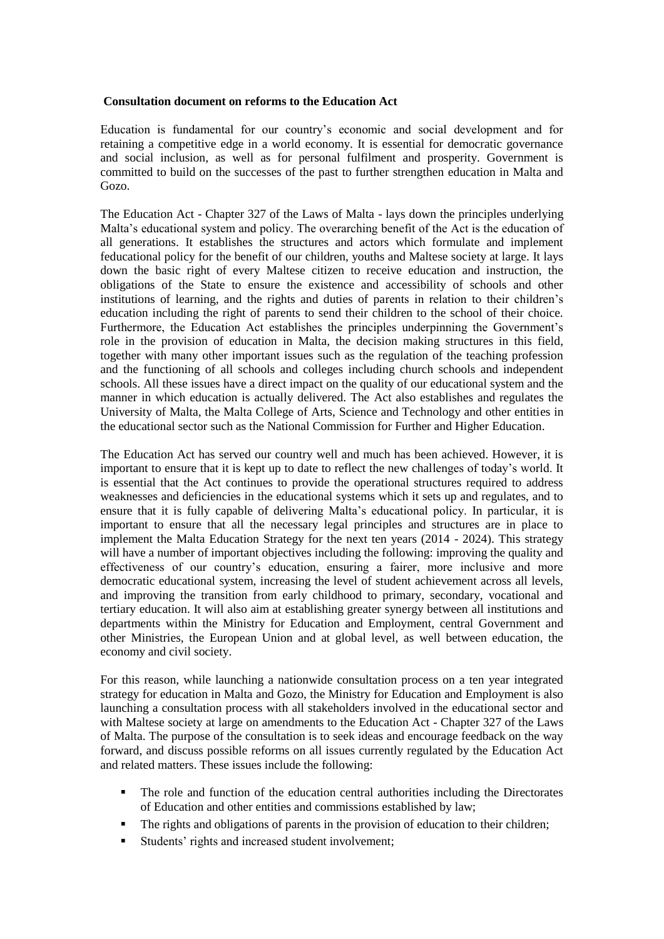## **Consultation document on reforms to the Education Act**

Education is fundamental for our country's economic and social development and for retaining a competitive edge in a world economy. It is essential for democratic governance and social inclusion, as well as for personal fulfilment and prosperity. Government is committed to build on the successes of the past to further strengthen education in Malta and Gozo.

The Education Act - Chapter 327 of the Laws of Malta - lays down the principles underlying Malta's educational system and policy. The overarching benefit of the Act is the education of all generations. It establishes the structures and actors which formulate and implement feducational policy for the benefit of our children, youths and Maltese society at large. It lays down the basic right of every Maltese citizen to receive education and instruction, the obligations of the State to ensure the existence and accessibility of schools and other institutions of learning, and the rights and duties of parents in relation to their children's education including the right of parents to send their children to the school of their choice. Furthermore, the Education Act establishes the principles underpinning the Government's role in the provision of education in Malta, the decision making structures in this field, together with many other important issues such as the regulation of the teaching profession and the functioning of all schools and colleges including church schools and independent schools. All these issues have a direct impact on the quality of our educational system and the manner in which education is actually delivered. The Act also establishes and regulates the University of Malta, the Malta College of Arts, Science and Technology and other entities in the educational sector such as the National Commission for Further and Higher Education.

The Education Act has served our country well and much has been achieved. However, it is important to ensure that it is kept up to date to reflect the new challenges of today's world. It is essential that the Act continues to provide the operational structures required to address weaknesses and deficiencies in the educational systems which it sets up and regulates, and to ensure that it is fully capable of delivering Malta's educational policy. In particular, it is important to ensure that all the necessary legal principles and structures are in place to implement the Malta Education Strategy for the next ten years (2014 - 2024). This strategy will have a number of important objectives including the following: improving the quality and effectiveness of our country's education, ensuring a fairer, more inclusive and more democratic educational system, increasing the level of student achievement across all levels, and improving the transition from early childhood to primary, secondary, vocational and tertiary education. It will also aim at establishing greater synergy between all institutions and departments within the Ministry for Education and Employment, central Government and other Ministries, the European Union and at global level, as well between education, the economy and civil society.

For this reason, while launching a nationwide consultation process on a ten year integrated strategy for education in Malta and Gozo, the Ministry for Education and Employment is also launching a consultation process with all stakeholders involved in the educational sector and with Maltese society at large on amendments to the Education Act - Chapter 327 of the Laws of Malta. The purpose of the consultation is to seek ideas and encourage feedback on the way forward, and discuss possible reforms on all issues currently regulated by the Education Act and related matters. These issues include the following:

- The role and function of the education central authorities including the Directorates of Education and other entities and commissions established by law;
- The rights and obligations of parents in the provision of education to their children;
- Students' rights and increased student involvement;